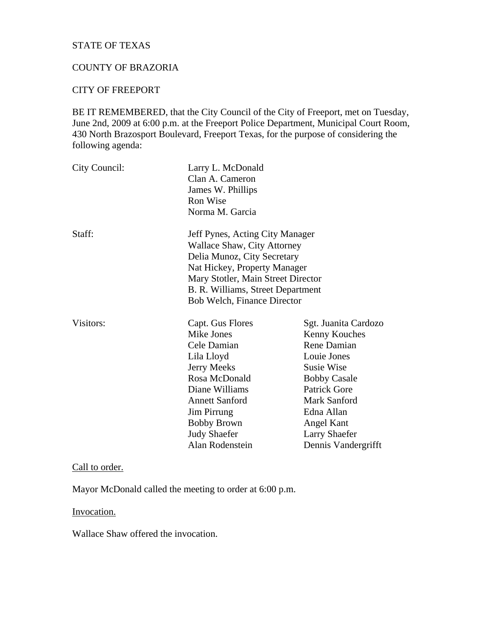# STATE OF TEXAS

# COUNTY OF BRAZORIA

#### CITY OF FREEPORT

BE IT REMEMBERED, that the City Council of the City of Freeport, met on Tuesday, June 2nd, 2009 at 6:00 p.m. at the Freeport Police Department, Municipal Court Room, 430 North Brazosport Boulevard, Freeport Texas, for the purpose of considering the following agenda:

| City Council:                      | Larry L. McDonald<br>Clan A. Cameron<br>James W. Phillips<br>Ron Wise |                      |                 |                                 |
|------------------------------------|-----------------------------------------------------------------------|----------------------|-----------------|---------------------------------|
|                                    |                                                                       |                      |                 |                                 |
|                                    |                                                                       |                      | Norma M. Garcia |                                 |
|                                    |                                                                       |                      | Staff:          | Jeff Pynes, Acting City Manager |
|                                    | <b>Wallace Shaw, City Attorney</b>                                    |                      |                 |                                 |
| Delia Munoz, City Secretary        |                                                                       |                      |                 |                                 |
| Nat Hickey, Property Manager       |                                                                       |                      |                 |                                 |
| Mary Stotler, Main Street Director |                                                                       |                      |                 |                                 |
| B. R. Williams, Street Department  |                                                                       |                      |                 |                                 |
| Bob Welch, Finance Director        |                                                                       |                      |                 |                                 |
| Visitors:                          | Capt. Gus Flores                                                      | Sgt. Juanita Cardozo |                 |                                 |
|                                    | Mike Jones                                                            | Kenny Kouches        |                 |                                 |
|                                    | Cele Damian                                                           | Rene Damian          |                 |                                 |
|                                    | Lila Lloyd                                                            | Louie Jones          |                 |                                 |
|                                    | Jerry Meeks                                                           | <b>Susie Wise</b>    |                 |                                 |
|                                    | Rosa McDonald                                                         | <b>Bobby Casale</b>  |                 |                                 |
|                                    | Diane Williams                                                        | <b>Patrick Gore</b>  |                 |                                 |
|                                    | <b>Annett Sanford</b>                                                 | Mark Sanford         |                 |                                 |
|                                    | Jim Pirrung                                                           | Edna Allan           |                 |                                 |
|                                    | <b>Bobby Brown</b>                                                    | Angel Kant           |                 |                                 |
|                                    | <b>Judy Shaefer</b>                                                   | <b>Larry Shaefer</b> |                 |                                 |
|                                    | Alan Rodenstein                                                       | Dennis Vandergrifft  |                 |                                 |

### Call to order.

Mayor McDonald called the meeting to order at 6:00 p.m.

# Invocation.

Wallace Shaw offered the invocation.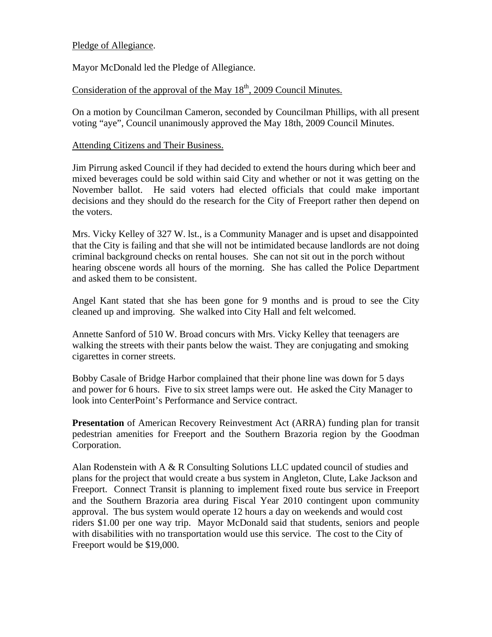### Pledge of Allegiance.

Mayor McDonald led the Pledge of Allegiance.

# Consideration of the approval of the May  $18<sup>th</sup>$ , 2009 Council Minutes.

On a motion by Councilman Cameron, seconded by Councilman Phillips, with all present voting "aye", Council unanimously approved the May 18th, 2009 Council Minutes.

#### Attending Citizens and Their Business.

Jim Pirrung asked Council if they had decided to extend the hours during which beer and mixed beverages could be sold within said City and whether or not it was getting on the November ballot. He said voters had elected officials that could make important decisions and they should do the research for the City of Freeport rather then depend on the voters.

Mrs. Vicky Kelley of 327 W. lst., is a Community Manager and is upset and disappointed that the City is failing and that she will not be intimidated because landlords are not doing criminal background checks on rental houses. She can not sit out in the porch without hearing obscene words all hours of the morning. She has called the Police Department and asked them to be consistent.

Angel Kant stated that she has been gone for 9 months and is proud to see the City cleaned up and improving. She walked into City Hall and felt welcomed.

Annette Sanford of 510 W. Broad concurs with Mrs. Vicky Kelley that teenagers are walking the streets with their pants below the waist. They are conjugating and smoking cigarettes in corner streets.

Bobby Casale of Bridge Harbor complained that their phone line was down for 5 days and power for 6 hours. Five to six street lamps were out. He asked the City Manager to look into CenterPoint's Performance and Service contract.

**Presentation** of American Recovery Reinvestment Act (ARRA) funding plan for transit pedestrian amenities for Freeport and the Southern Brazoria region by the Goodman Corporation.

Alan Rodenstein with A & R Consulting Solutions LLC updated council of studies and plans for the project that would create a bus system in Angleton, Clute, Lake Jackson and Freeport. Connect Transit is planning to implement fixed route bus service in Freeport and the Southern Brazoria area during Fiscal Year 2010 contingent upon community approval. The bus system would operate 12 hours a day on weekends and would cost riders \$1.00 per one way trip. Mayor McDonald said that students, seniors and people with disabilities with no transportation would use this service. The cost to the City of Freeport would be \$19,000.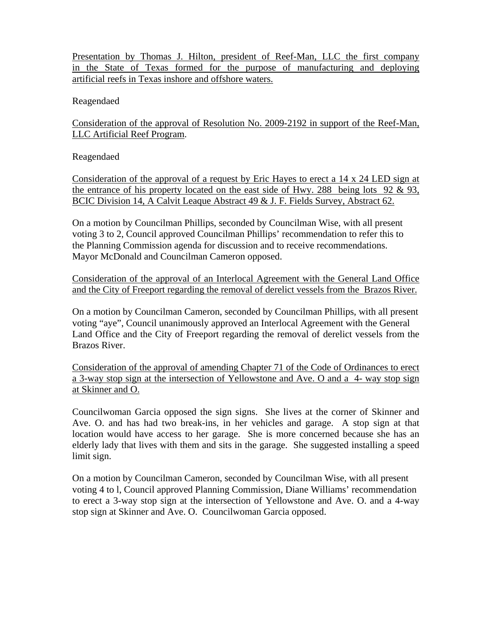Presentation by Thomas J. Hilton, president of Reef-Man, LLC the first company in the State of Texas formed for the purpose of manufacturing and deploying artificial reefs in Texas inshore and offshore waters.

Reagendaed

Consideration of the approval of Resolution No. 2009-2192 in support of the Reef-Man, LLC Artificial Reef Program.

Reagendaed

Consideration of the approval of a request by Eric Hayes to erect a 14 x 24 LED sign at the entrance of his property located on the east side of Hwy. 288 being lots 92 & 93, BCIC Division 14, A Calvit Leaque Abstract 49 & J. F. Fields Survey, Abstract 62.

On a motion by Councilman Phillips, seconded by Councilman Wise, with all present voting 3 to 2, Council approved Councilman Phillips' recommendation to refer this to the Planning Commission agenda for discussion and to receive recommendations. Mayor McDonald and Councilman Cameron opposed.

Consideration of the approval of an Interlocal Agreement with the General Land Office and the City of Freeport regarding the removal of derelict vessels from the Brazos River.

On a motion by Councilman Cameron, seconded by Councilman Phillips, with all present voting "aye", Council unanimously approved an Interlocal Agreement with the General Land Office and the City of Freeport regarding the removal of derelict vessels from the Brazos River.

Consideration of the approval of amending Chapter 71 of the Code of Ordinances to erect a 3-way stop sign at the intersection of Yellowstone and Ave. O and a 4- way stop sign at Skinner and O.

Councilwoman Garcia opposed the sign signs. She lives at the corner of Skinner and Ave. O. and has had two break-ins, in her vehicles and garage. A stop sign at that location would have access to her garage. She is more concerned because she has an elderly lady that lives with them and sits in the garage. She suggested installing a speed limit sign.

On a motion by Councilman Cameron, seconded by Councilman Wise, with all present voting 4 to l, Council approved Planning Commission, Diane Williams' recommendation to erect a 3-way stop sign at the intersection of Yellowstone and Ave. O. and a 4-way stop sign at Skinner and Ave. O. Councilwoman Garcia opposed.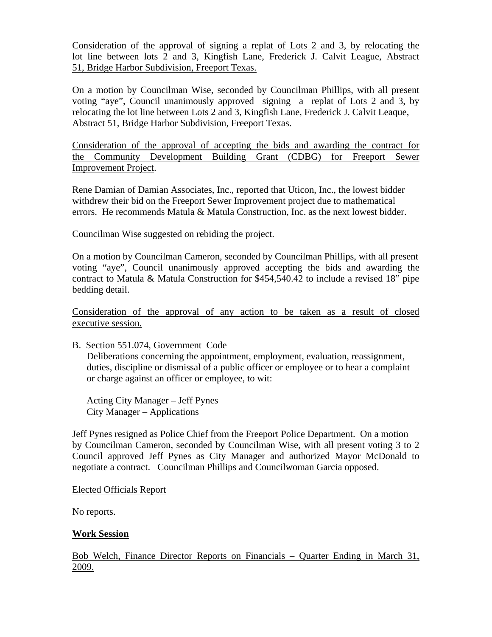Consideration of the approval of signing a replat of Lots 2 and 3, by relocating the lot line between lots 2 and 3, Kingfish Lane, Frederick J. Calvit League, Abstract 51, Bridge Harbor Subdivision, Freeport Texas.

On a motion by Councilman Wise, seconded by Councilman Phillips, with all present voting "aye", Council unanimously approved signing a replat of Lots 2 and 3, by relocating the lot line between Lots 2 and 3, Kingfish Lane, Frederick J. Calvit Leaque, Abstract 51, Bridge Harbor Subdivision, Freeport Texas.

Consideration of the approval of accepting the bids and awarding the contract for the Community Development Building Grant (CDBG) for Freeport Sewer Improvement Project.

Rene Damian of Damian Associates, Inc., reported that Uticon, Inc., the lowest bidder withdrew their bid on the Freeport Sewer Improvement project due to mathematical errors. He recommends Matula & Matula Construction, Inc. as the next lowest bidder.

Councilman Wise suggested on rebiding the project.

On a motion by Councilman Cameron, seconded by Councilman Phillips, with all present voting "aye", Council unanimously approved accepting the bids and awarding the contract to Matula & Matula Construction for \$454,540.42 to include a revised 18" pipe bedding detail.

Consideration of the approval of any action to be taken as a result of closed executive session.

B. Section 551.074, Government Code Deliberations concerning the appointment, employment, evaluation, reassignment, duties, discipline or dismissal of a public officer or employee or to hear a complaint or charge against an officer or employee, to wit:

 Acting City Manager – Jeff Pynes City Manager – Applications

Jeff Pynes resigned as Police Chief from the Freeport Police Department. On a motion by Councilman Cameron, seconded by Councilman Wise, with all present voting 3 to 2 Council approved Jeff Pynes as City Manager and authorized Mayor McDonald to negotiate a contract. Councilman Phillips and Councilwoman Garcia opposed.

Elected Officials Report

No reports.

# **Work Session**

Bob Welch, Finance Director Reports on Financials – Quarter Ending in March 31, 2009.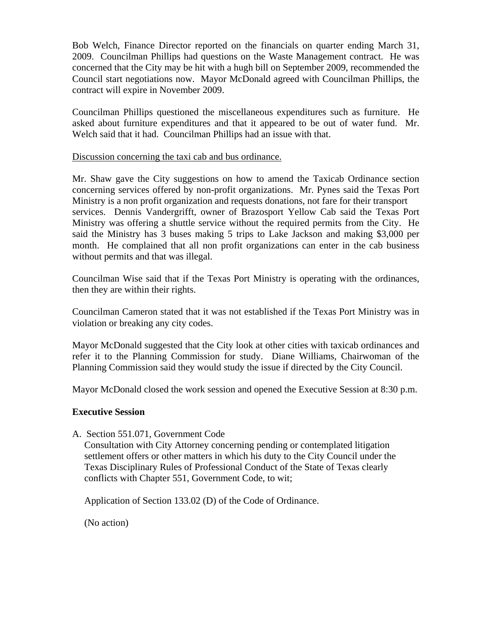Bob Welch, Finance Director reported on the financials on quarter ending March 31, 2009. Councilman Phillips had questions on the Waste Management contract. He was concerned that the City may be hit with a hugh bill on September 2009, recommended the Council start negotiations now. Mayor McDonald agreed with Councilman Phillips, the contract will expire in November 2009.

Councilman Phillips questioned the miscellaneous expenditures such as furniture. He asked about furniture expenditures and that it appeared to be out of water fund. Mr. Welch said that it had. Councilman Phillips had an issue with that.

#### Discussion concerning the taxi cab and bus ordinance.

Mr. Shaw gave the City suggestions on how to amend the Taxicab Ordinance section concerning services offered by non-profit organizations. Mr. Pynes said the Texas Port Ministry is a non profit organization and requests donations, not fare for their transport services. Dennis Vandergrifft, owner of Brazosport Yellow Cab said the Texas Port Ministry was offering a shuttle service without the required permits from the City. He said the Ministry has 3 buses making 5 trips to Lake Jackson and making \$3,000 per month. He complained that all non profit organizations can enter in the cab business without permits and that was illegal.

Councilman Wise said that if the Texas Port Ministry is operating with the ordinances, then they are within their rights.

Councilman Cameron stated that it was not established if the Texas Port Ministry was in violation or breaking any city codes.

Mayor McDonald suggested that the City look at other cities with taxicab ordinances and refer it to the Planning Commission for study. Diane Williams, Chairwoman of the Planning Commission said they would study the issue if directed by the City Council.

Mayor McDonald closed the work session and opened the Executive Session at 8:30 p.m.

#### **Executive Session**

A. Section 551.071, Government Code

 Consultation with City Attorney concerning pending or contemplated litigation settlement offers or other matters in which his duty to the City Council under the Texas Disciplinary Rules of Professional Conduct of the State of Texas clearly conflicts with Chapter 551, Government Code, to wit;

Application of Section 133.02 (D) of the Code of Ordinance.

(No action)